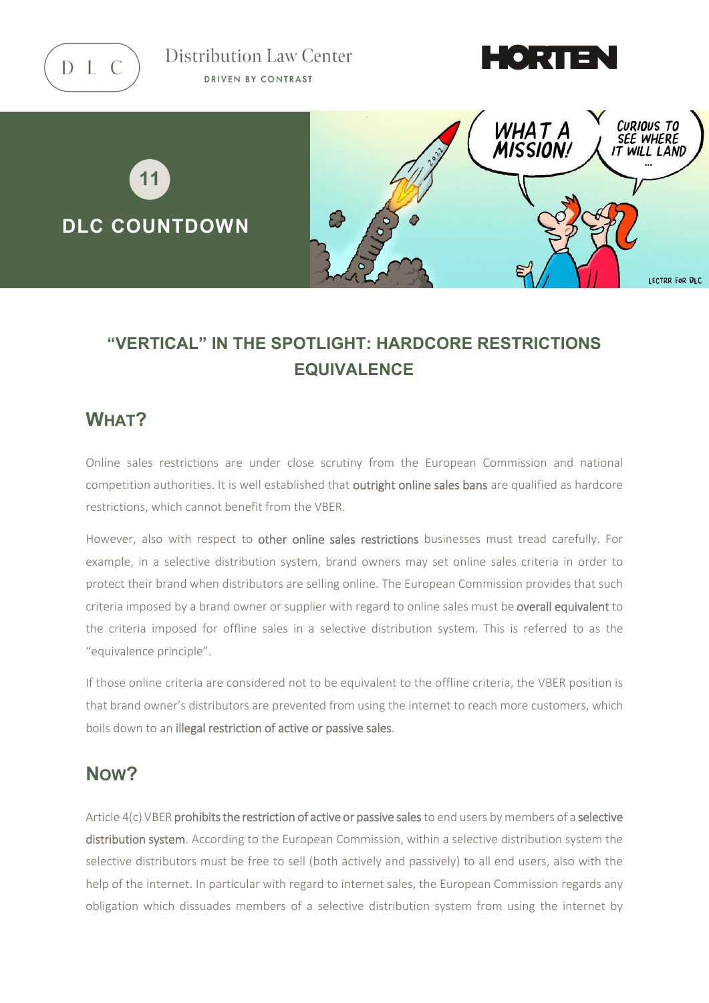D L C

Distribution Law Center DRIVEN BY CONTRAST





# **"VERTICAL" IN THE SPOTLIGHT: HARDCORE RESTRICTIONS EQUIVALENCE**

#### **WHAT?**

Online sales restrictions are under close scrutiny from the European Commission and national competition authorities. It is well established that outright online sales bans are qualified as hardcore restrictions, which cannot benefit from the VBER.

However, also with respect to other online sales restrictions businesses must tread carefully. For example, in a selective distribution system, brand owners may set online sales criteria in order to protect their brand when distributors are selling online. The European Commission provides that such criteria imposed by a brand owner or supplier with regard to online sales must be overall equivalent to the criteria imposed for offline sales in a selective distribution system. This is referred to as the "equivalence principle".

If those online criteria are considered not to be equivalent to the offline criteria, the VBER position is that brand owner's distributors are prevented from using the internet to reach more customers, which boils down to an illegal restriction of active or passive sales.

## **NOW?**

Article 4(c) VBER prohibits the restriction of active or passive sales to end users by members of a selective distribution system. According to the European Commission, within a selective distribution system the selective distributors must be free to sell (both actively and passively) to all end users, also with the help of the internet. In particular with regard to internet sales, the European Commission regards any obligation which dissuades members of a selective distribution system from using the internet by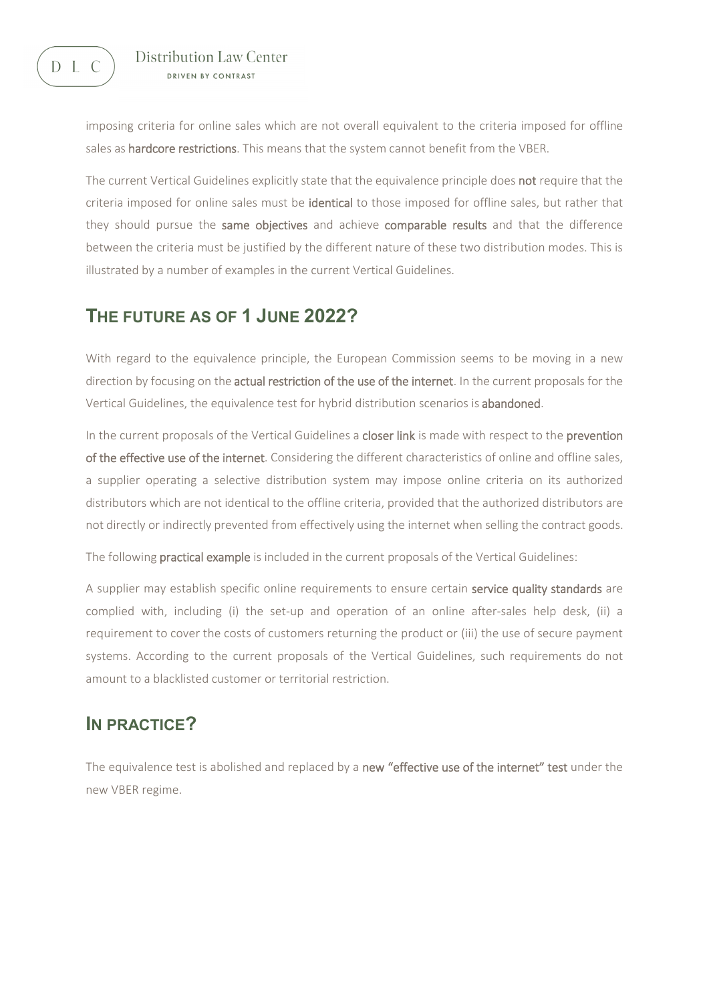

imposing criteria for online sales which are not overall equivalent to the criteria imposed for offline sales as hardcore restrictions. This means that the system cannot benefit from the VBER.

The current Vertical Guidelines explicitly state that the equivalence principle does not require that the criteria imposed for online sales must be **identical** to those imposed for offline sales, but rather that they should pursue the same objectives and achieve comparable results and that the difference between the criteria must be justified by the different nature of these two distribution modes. This is illustrated by a number of examples in the current Vertical Guidelines.

### **THE FUTURE AS OF 1 JUNE 2022?**

With regard to the equivalence principle, the European Commission seems to be moving in a new direction by focusing on the actual restriction of the use of the internet. In the current proposals for the Vertical Guidelines, the equivalence test for hybrid distribution scenarios is abandoned.

In the current proposals of the Vertical Guidelines a closer link is made with respect to the prevention of the effective use of the internet. Considering the different characteristics of online and offline sales, a supplier operating a selective distribution system may impose online criteria on its authorized distributors which are not identical to the offline criteria, provided that the authorized distributors are not directly or indirectly prevented from effectively using the internet when selling the contract goods.

The following practical example is included in the current proposals of the Vertical Guidelines:

A supplier may establish specific online requirements to ensure certain service quality standards are complied with, including (i) the set-up and operation of an online after-sales help desk, (ii) a requirement to cover the costs of customers returning the product or (iii) the use of secure payment systems. According to the current proposals of the Vertical Guidelines, such requirements do not amount to a blacklisted customer or territorial restriction.

### **IN PRACTICE?**

The equivalence test is abolished and replaced by a new "effective use of the internet" test under the new VBER regime.